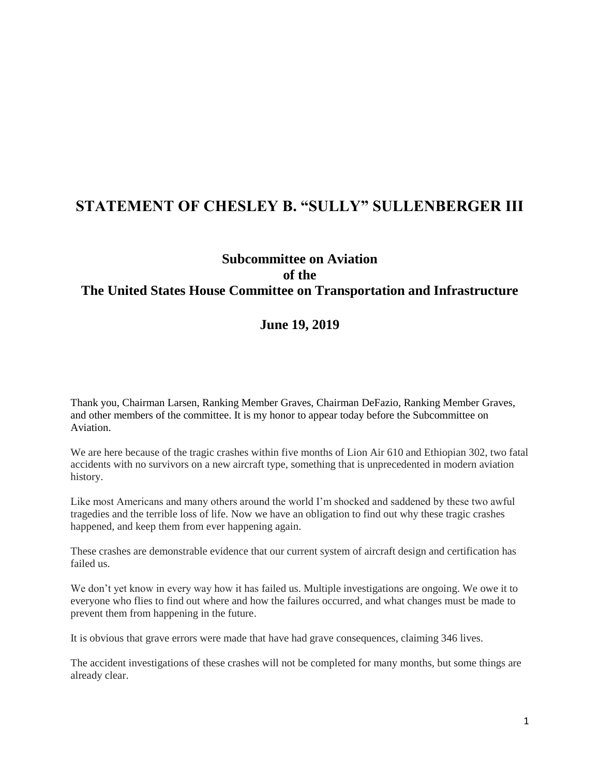## **STATEMENT OF CHESLEY B. "SULLY" SULLENBERGER III**

## **Subcommittee on Aviation of the The United States House Committee on Transportation and Infrastructure**

## **June 19, 2019**

Thank you, Chairman Larsen, Ranking Member Graves, Chairman DeFazio, Ranking Member Graves, and other members of the committee. It is my honor to appear today before the Subcommittee on Aviation.

We are here because of the tragic crashes within five months of Lion Air 610 and Ethiopian 302, two fatal accidents with no survivors on a new aircraft type, something that is unprecedented in modern aviation history.

Like most Americans and many others around the world I'm shocked and saddened by these two awful tragedies and the terrible loss of life. Now we have an obligation to find out why these tragic crashes happened, and keep them from ever happening again.

These crashes are demonstrable evidence that our current system of aircraft design and certification has failed us.

We don't yet know in every way how it has failed us. Multiple investigations are ongoing. We owe it to everyone who flies to find out where and how the failures occurred, and what changes must be made to prevent them from happening in the future.

It is obvious that grave errors were made that have had grave consequences, claiming 346 lives.

The accident investigations of these crashes will not be completed for many months, but some things are already clear.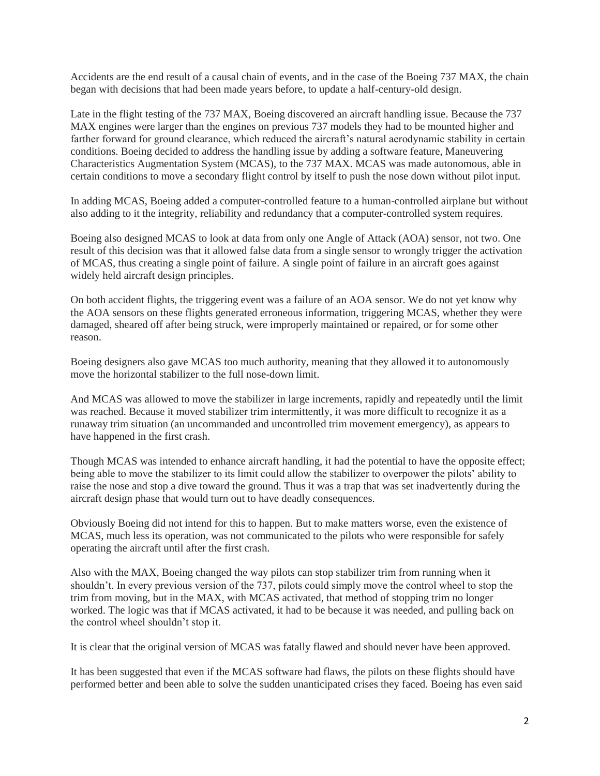Accidents are the end result of a causal chain of events, and in the case of the Boeing 737 MAX, the chain began with decisions that had been made years before, to update a half-century-old design.

Late in the flight testing of the 737 MAX, Boeing discovered an aircraft handling issue. Because the 737 MAX engines were larger than the engines on previous 737 models they had to be mounted higher and farther forward for ground clearance, which reduced the aircraft's natural aerodynamic stability in certain conditions. Boeing decided to address the handling issue by adding a software feature, Maneuvering Characteristics Augmentation System (MCAS), to the 737 MAX. MCAS was made autonomous, able in certain conditions to move a secondary flight control by itself to push the nose down without pilot input.

In adding MCAS, Boeing added a computer-controlled feature to a human-controlled airplane but without also adding to it the integrity, reliability and redundancy that a computer-controlled system requires.

Boeing also designed MCAS to look at data from only one Angle of Attack (AOA) sensor, not two. One result of this decision was that it allowed false data from a single sensor to wrongly trigger the activation of MCAS, thus creating a single point of failure. A single point of failure in an aircraft goes against widely held aircraft design principles.

On both accident flights, the triggering event was a failure of an AOA sensor. We do not yet know why the AOA sensors on these flights generated erroneous information, triggering MCAS, whether they were damaged, sheared off after being struck, were improperly maintained or repaired, or for some other reason.

Boeing designers also gave MCAS too much authority, meaning that they allowed it to autonomously move the horizontal stabilizer to the full nose-down limit.

And MCAS was allowed to move the stabilizer in large increments, rapidly and repeatedly until the limit was reached. Because it moved stabilizer trim intermittently, it was more difficult to recognize it as a runaway trim situation (an uncommanded and uncontrolled trim movement emergency), as appears to have happened in the first crash.

Though MCAS was intended to enhance aircraft handling, it had the potential to have the opposite effect; being able to move the stabilizer to its limit could allow the stabilizer to overpower the pilots' ability to raise the nose and stop a dive toward the ground. Thus it was a trap that was set inadvertently during the aircraft design phase that would turn out to have deadly consequences.

Obviously Boeing did not intend for this to happen. But to make matters worse, even the existence of MCAS, much less its operation, was not communicated to the pilots who were responsible for safely operating the aircraft until after the first crash.

Also with the MAX, Boeing changed the way pilots can stop stabilizer trim from running when it shouldn't. In every previous version of the 737, pilots could simply move the control wheel to stop the trim from moving, but in the MAX, with MCAS activated, that method of stopping trim no longer worked. The logic was that if MCAS activated, it had to be because it was needed, and pulling back on the control wheel shouldn't stop it.

It is clear that the original version of MCAS was fatally flawed and should never have been approved.

It has been suggested that even if the MCAS software had flaws, the pilots on these flights should have performed better and been able to solve the sudden unanticipated crises they faced. Boeing has even said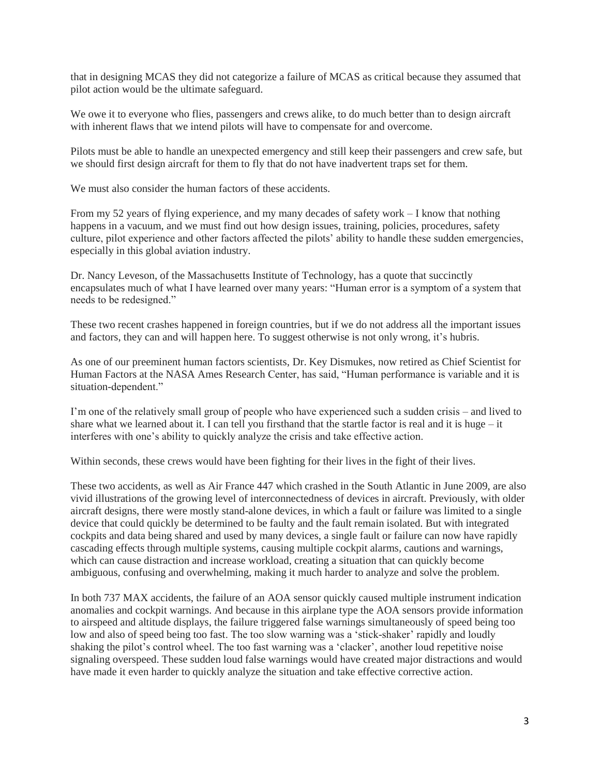that in designing MCAS they did not categorize a failure of MCAS as critical because they assumed that pilot action would be the ultimate safeguard.

We owe it to everyone who flies, passengers and crews alike, to do much better than to design aircraft with inherent flaws that we intend pilots will have to compensate for and overcome.

Pilots must be able to handle an unexpected emergency and still keep their passengers and crew safe, but we should first design aircraft for them to fly that do not have inadvertent traps set for them.

We must also consider the human factors of these accidents.

From my 52 years of flying experience, and my many decades of safety work – I know that nothing happens in a vacuum, and we must find out how design issues, training, policies, procedures, safety culture, pilot experience and other factors affected the pilots' ability to handle these sudden emergencies, especially in this global aviation industry.

Dr. Nancy Leveson, of the Massachusetts Institute of Technology, has a quote that succinctly encapsulates much of what I have learned over many years: "Human error is a symptom of a system that needs to be redesigned."

These two recent crashes happened in foreign countries, but if we do not address all the important issues and factors, they can and will happen here. To suggest otherwise is not only wrong, it's hubris.

As one of our preeminent human factors scientists, Dr. Key Dismukes, now retired as Chief Scientist for Human Factors at the NASA Ames Research Center, has said, "Human performance is variable and it is situation-dependent."

I'm one of the relatively small group of people who have experienced such a sudden crisis – and lived to share what we learned about it. I can tell you firsthand that the startle factor is real and it is huge – it interferes with one's ability to quickly analyze the crisis and take effective action.

Within seconds, these crews would have been fighting for their lives in the fight of their lives.

These two accidents, as well as Air France 447 which crashed in the South Atlantic in June 2009, are also vivid illustrations of the growing level of interconnectedness of devices in aircraft. Previously, with older aircraft designs, there were mostly stand-alone devices, in which a fault or failure was limited to a single device that could quickly be determined to be faulty and the fault remain isolated. But with integrated cockpits and data being shared and used by many devices, a single fault or failure can now have rapidly cascading effects through multiple systems, causing multiple cockpit alarms, cautions and warnings, which can cause distraction and increase workload, creating a situation that can quickly become ambiguous, confusing and overwhelming, making it much harder to analyze and solve the problem.

In both 737 MAX accidents, the failure of an AOA sensor quickly caused multiple instrument indication anomalies and cockpit warnings. And because in this airplane type the AOA sensors provide information to airspeed and altitude displays, the failure triggered false warnings simultaneously of speed being too low and also of speed being too fast. The too slow warning was a 'stick-shaker' rapidly and loudly shaking the pilot's control wheel. The too fast warning was a 'clacker', another loud repetitive noise signaling overspeed. These sudden loud false warnings would have created major distractions and would have made it even harder to quickly analyze the situation and take effective corrective action.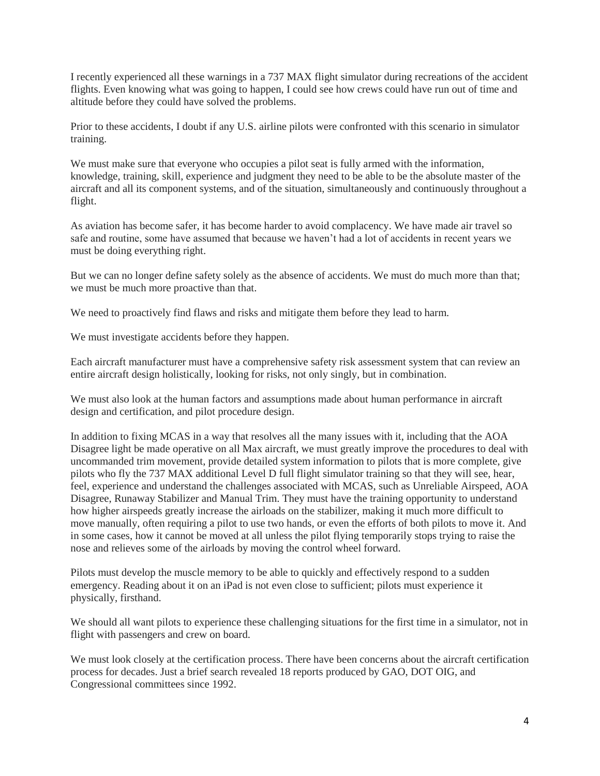I recently experienced all these warnings in a 737 MAX flight simulator during recreations of the accident flights. Even knowing what was going to happen, I could see how crews could have run out of time and altitude before they could have solved the problems.

Prior to these accidents, I doubt if any U.S. airline pilots were confronted with this scenario in simulator training.

We must make sure that everyone who occupies a pilot seat is fully armed with the information, knowledge, training, skill, experience and judgment they need to be able to be the absolute master of the aircraft and all its component systems, and of the situation, simultaneously and continuously throughout a flight.

As aviation has become safer, it has become harder to avoid complacency. We have made air travel so safe and routine, some have assumed that because we haven't had a lot of accidents in recent years we must be doing everything right.

But we can no longer define safety solely as the absence of accidents. We must do much more than that; we must be much more proactive than that.

We need to proactively find flaws and risks and mitigate them before they lead to harm.

We must investigate accidents before they happen.

Each aircraft manufacturer must have a comprehensive safety risk assessment system that can review an entire aircraft design holistically, looking for risks, not only singly, but in combination.

We must also look at the human factors and assumptions made about human performance in aircraft design and certification, and pilot procedure design.

In addition to fixing MCAS in a way that resolves all the many issues with it, including that the AOA Disagree light be made operative on all Max aircraft, we must greatly improve the procedures to deal with uncommanded trim movement, provide detailed system information to pilots that is more complete, give pilots who fly the 737 MAX additional Level D full flight simulator training so that they will see, hear, feel, experience and understand the challenges associated with MCAS, such as Unreliable Airspeed, AOA Disagree, Runaway Stabilizer and Manual Trim. They must have the training opportunity to understand how higher airspeeds greatly increase the airloads on the stabilizer, making it much more difficult to move manually, often requiring a pilot to use two hands, or even the efforts of both pilots to move it. And in some cases, how it cannot be moved at all unless the pilot flying temporarily stops trying to raise the nose and relieves some of the airloads by moving the control wheel forward.

Pilots must develop the muscle memory to be able to quickly and effectively respond to a sudden emergency. Reading about it on an iPad is not even close to sufficient; pilots must experience it physically, firsthand.

We should all want pilots to experience these challenging situations for the first time in a simulator, not in flight with passengers and crew on board.

We must look closely at the certification process. There have been concerns about the aircraft certification process for decades. Just a brief search revealed 18 reports produced by GAO, DOT OIG, and Congressional committees since 1992.